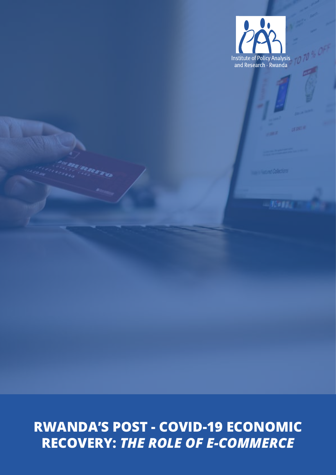

# **RWANDA'S POST - COVID-19 ECONOMIC RECOVERY:** *THE ROLE OF E-COMMERCE*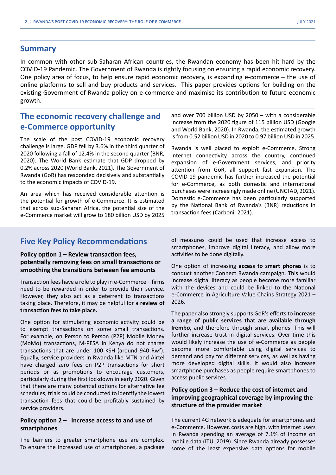#### **Summary**

In common with other sub-Saharan African countries, the Rwandan economy has been hit hard by the COVID-19 Pandemic. The Government of Rwanda is rightly focusing on ensuring a rapid economic recovery. One policy area of focus, to help ensure rapid economic recovery, is expanding e-commerce – the use of online platforms to sell and buy products and services. This paper provides options for building on the existing Government of Rwanda policy on e-commerce and maximise its contribution to future economic growth.

### **The economic recovery challenge and e-Commerce opportunity**

The scale of the post COVID-19 economic recovery challenge is large. GDP fell by 3.6% in the third quarter of 2020 following a fall of 12.4% in the second quarter (BNR, 2020). The World Bank estimate that GDP dropped by 0.2% across 2020 (World Bank, 2021). The Government of Rwanda (GoR) has responded decisively and substantially to the economic impacts of COVID-19.

An area which has received considerable attention is the potential for growth of e-Commerce. It is estimated that across sub-Saharan Africa, the potential size of the e-Commerce market will grow to 180 billion USD by 2025 and over 700 billion USD by 2050 – with a considerable increase from the 2020 figure of 115 billion USD (Google and World Bank, 2020). In Rwanda, the estimated growth is from 0.52 billion USD in 2020 to 0.97 billion USD in 2025.

Rwanda is well placed to exploit e-Commerce. Strong internet connectivity across the country, continued expansion of e-Government services, and priority attention from GoR, all support fast expansion. The COVID-19 pandemic has further increased the potential for e-Commerce, as both domestic and international purchases were increasingly made online (UNCTAD, 2021). Domestic e-Commerce has been particularly supported by the National Bank of Rwanda's (BNR) reductions in transaction fees (Carboni, 2021).

### **Five Key Policy Recommendations**

#### **Policy option 1 – Review transaction fees, potentially removing fees on small transactions or smoothing the transitions between fee amounts**

Transaction fees have a role to play in e-Commerce – firms need to be rewarded in order to provide their service. However, they also act as a deterrent to transactions taking place. Therefore, it may be helpful for a **review of transaction fees to take place.**

One option for stimulating economic activity could be to exempt transactions on some small transactions. For example, on Person to Person (P2P) Mobile Money (MoMo) transactions, M-PESA in Kenya do not charge transactions that are under 100 KSH (around 940 Rwf). Equally, service providers in Rwanda like MTN and Airtel have charged zero fees on P2P transactions for short periods or as promotions to encourage customers, particularly during the first lockdown in early 2020. Given that there are many potential options for alternative fee schedules, trials could be conducted to identify the lowest transaction fees that could be profitably sustained by service providers.

#### **Policy option 2 – Increase access to and use of smartphones**

The barriers to greater smartphone use are complex. To ensure the increased use of smartphones, a package of measures could be used that increase access to smartphones, improve digital literacy, and allow more activities to be done digitally.

One option of increasing **access to smart phones** is to conduct another Connect Rwanda campaign. This would increase digital literacy as people become more familiar with the devices and could be linked to the National e-Commerce in Agriculture Value Chains Strategy 2021 – 2026.

The paper also strongly supports GoR's efforts to **increase a range of public services that are available through Irembo,** and therefore through smart phones. This will further increase trust in digital services. Over time this would likely increase the use of e-Commerce as people become more comfortable using digital services to demand and pay for different services, as well as having more developed digital skills. It would also increase smartphone purchases as people require smartphones to access public services.

#### **Policy option 3 – Reduce the cost of internet and improving geographical coverage by improving the structure of the provider market**

The current 4G network is adequate for smartphones and e-Commerce. However, costs are high, with internet users in Rwanda spending an average of 7.1% of income on mobile data (ITU, 2019). Since Rwanda already possesses some of the least expensive data options for mobile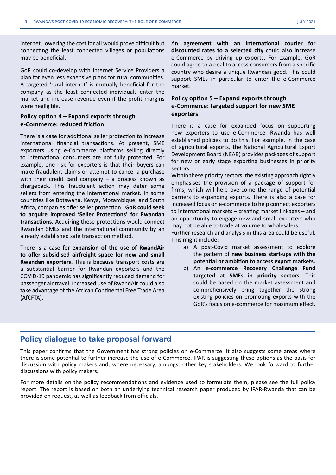internet, lowering the cost for all would prove difficult but connecting the least connected villages or populations may be beneficial.

GoR could co-develop with Internet Service Providers a plan for even less expensive plans for rural communities. A targeted 'rural internet' is mutually beneficial for the company as the least connected individuals enter the market and increase revenue even if the profit margins were negligible.

#### **Policy option 4 – Expand exports through e-Commerce: reduced friction**

There is a case for additional seller protection to increase international financial transactions. At present, SME exporters using e-Commerce platforms selling directly to international consumers are not fully protected. For example, one risk for exporters is that their buyers can make fraudulent claims or attempt to cancel a purchase with their credit card company  $-$  a process known as chargeback. This fraudulent action may deter some sellers from entering the international market. In some countries like Botswana, Kenya, Mozambique, and South Africa, companies offer seller protection. **GoR could seek to acquire improved 'Seller Protections' for Rwandan transactions.** Acquiring these protections would connect Rwandan SMEs and the international community by an already established safe transaction method.

There is a case for **expansion of the use of RwandAir to offer subsidised airfreight space for new and small Rwandan exporters.** This is because transport costs are a substantial barrier for Rwandan exporters and the COVID-19 pandemic has significantly reduced demand for passenger air travel. Increased use of RwandAir could also take advantage of the African Continental Free Trade Area (AfCFTA).

An **agreement with an international courier for discounted rates to a selected city** could also increase e-Commerce by driving up exports. For example, GoR could agree to a deal to access consumers from a specific country who desire a unique Rwandan good. This could support SMEs in particular to enter the e-Commerce market.

#### **Policy option 5 – Expand exports through e-Commerce: targeted support for new SME exporters**

There is a case for expanded focus on supporting new exporters to use e-Commerce. Rwanda has well established policies to do this. For example, in the case of agricultural exports, the National Agricultural Export Development Board (NEAB) provides packages of support for new or early stage exporting businesses in priority sectors.

Within these priority sectors, the existing approach rightly emphasises the provision of a package of support for firms, which will help overcome the range of potential barriers to expanding exports. There is also a case for increased focus on e-commerce to help connect exporters to international markets – creating market linkages – and an opportunity to engage new and small exporters who may not be able to trade at volume to wholesalers.

Further research and analysis in this area could be useful. This might include:

- a) A post-Covid market assessment to explore the pattern of **new business start-ups with the potential or ambition to access export markets.**
- b) An **e-commerce Recovery Challenge Fund targeted at SMEs in priority sectors**. This could be based on the market assessment and comprehensively bring together the strong existing policies on promoting exports with the GoR's focus on e-commerce for maximum effect.

### **Policy dialogue to take proposal forward**

This paper confirms that the Government has strong policies on e-Commerce. It also suggests some areas where there is some potential to further increase the use of e-Commerce. IPAR is suggesting these options as the basis for discussion with policy makers and, where necessary, amongst other key stakeholders. We look forward to further discussions with policy makers.

For more details on the policy recommendations and evidence used to formulate them, please see the full policy report. The report is based on both an underlying technical research paper produced by IPAR-Rwanda that can be provided on request, as well as feedback from officials.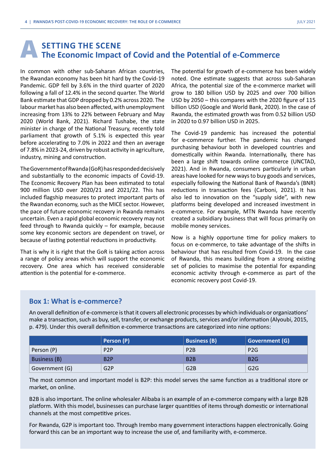# **SETTING THE SCENE**<br>**The Economic Impact of Covid and the Potential of e-Commerce**

In common with other sub-Saharan African countries, the Rwandan economy has been hit hard by the Covid-19 Pandemic. GDP fell by 3.6% in the third quarter of 2020 following a fall of 12.4% in the second quarter. The World Bank estimate that GDP dropped by 0.2% across 2020. The labour market has also been affected, with unemployment increasing from 13% to 22% between February and May 2020 (World Bank, 2021). Richard Tushabe, the state minister in charge of the National Treasury, recently told parliament that growth of 5.1% is expected this year before accelerating to 7.0% in 2022 and then an average of 7.8% in 2023-24, driven by robust activity in agriculture, industry, mining and construction.

The Government of Rwanda (GoR) has responded decisively and substantially to the economic impacts of Covid-19. The Economic Recovery Plan has been estimated to total 900 million USD over 2020/21 and 2021/22. This has included flagship measures to protect important parts of the Rwandan economy, such as the MICE sector. However, the pace of future economic recovery in Rwanda remains uncertain. Even a rapid global economic recovery may not feed through to Rwanda quickly – for example, because some key economic sectors are dependent on travel, or because of lasting potential reductions in productivity.

That is why it is right that the GoR is taking action across a range of policy areas which will support the economic recovery. One area which has received considerable attention is the potential for e-commerce.

The potential for growth of e-commerce has been widely noted. One estimate suggests that across sub-Saharan Africa, the potential size of the e-commerce market will grow to 180 billion USD by 2025 and over 700 billion USD by 2050 – this compares with the 2020 figure of 115 billion USD (Google and World Bank, 2020). In the case of Rwanda, the estimated growth was from 0.52 billion USD in 2020 to 0.97 billion USD in 2025.

The Covid-19 pandemic has increased the potential for e-commerce further. The pandemic has changed purchasing behaviour both in developed countries and domestically within Rwanda. Internationally, there has been a large shift towards online commerce (UNCTAD, 2021). And in Rwanda, consumers particularly in urban areas have looked for new ways to buy goods and services, especially following the National Bank of Rwanda's (BNR) reductions in transaction fees (Carboni, 2021). It has also led to innovation on the "supply side", with new platforms being developed and increased investment in e-commerce. For example, MTN Rwanda have recently created a subsidiary business that will focus primarily on mobile money services.

Now is a highly opportune time for policy makers to focus on e-commerce, to take advantage of the shifts in behaviour that has resulted from Covid-19. In the case of Rwanda, this means building from a strong existing set of policies to maximise the potential for expanding economic activity through e-commerce as part of the economic recovery post Covid-19.

### **Box 1: What is e-commerce?**

An overall definition of e-commerce is that it covers all electronic processes by which individuals or organizations' make a transaction, such as buy, sell, transfer, or exchange products, services and/or information (Alyoubi, 2015, p. 479). Under this overall definition e-commerce transactions are categorized into nine options:

|                | Person (P)       | <b>Business (B)</b> | <b>Government (G)</b> |
|----------------|------------------|---------------------|-----------------------|
| Person (P)     | P <sub>2</sub> P | P <sub>2</sub> B    | P <sub>2</sub> G      |
| Business (B)   | B <sub>2</sub> P | B <sub>2</sub> B    | B2G                   |
| Government (G) | G <sub>2</sub> P | G <sub>2</sub> B    | G2G                   |

The most common and important model is B2P: this model serves the same function as a traditional store or market, on online.

B2B is also important. The online wholesaler Alibaba is an example of an e-commerce company with a large B2B platform. With this model, businesses can purchase larger quantities of items through domestic or international channels at the most competitive prices.

For Rwanda, G2P is important too. Through Irembo many government interactions happen electronically. Going forward this can be an important way to increase the use of, and familiarity with, e-commerce.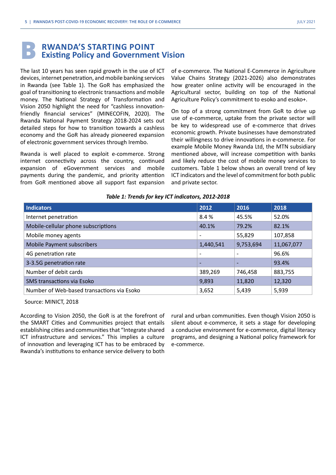# **RWANDA'S STARTING POINT B Existing Policy and Government Vision**

The last 10 years has seen rapid growth in the use of ICT devices, internet penetration, and mobile banking services in Rwanda (see Table 1). The GoR has emphasized the goal of transitioning to electronic transactions and mobile money. The National Strategy of Transformation and Vision 2050 highlight the need for "cashless innovationfriendly financial services" (MINECOFIN, 2020). The Rwanda National Payment Strategy 2018-2024 sets out detailed steps for how to transition towards a cashless economy and the GoR has already pioneered expansion of electronic government services through Irembo.

Rwanda is well placed to exploit e-commerce. Strong internet connectivity across the country, continued expansion of eGovernment services and mobile payments during the pandemic, and priority attention from GoR mentioned above all support fast expansion of e-commerce. The National E-Commerce in Agriculture Value Chains Strategy (2021-2026) also demonstrates how greater online activity will be encouraged in the Agricultural sector, building on top of the National Agriculture Policy's commitment to esoko and esoko+.

On top of a strong commitment from GoR to drive up use of e-commerce, uptake from the private sector will be key to widespread use of e-commerce that drives economic growth. Private businesses have demonstrated their willingness to drive innovations in e-commerce. For example Mobile Money Rwanda Ltd, the MTN subsidiary mentioned above, will increase competition with banks and likely reduce the cost of mobile money services to customers. Table 1 below shows an overall trend of key ICT indicators and the level of commitment for both public and private sector.

| Table 1: Trends for key ICT indicators, 2012-2018 |  |  |  |
|---------------------------------------------------|--|--|--|
|---------------------------------------------------|--|--|--|

| <b>Indicators</b>                          | 2012                     | 2016                     | 2018       |
|--------------------------------------------|--------------------------|--------------------------|------------|
| Internet penetration                       | 8.4%                     | 45.5%                    | 52.0%      |
| Mobile-cellular phone subscriptions        | 40.1%                    | 79.2%                    | 82.1%      |
| Mobile money agents                        | $\overline{\phantom{0}}$ | 55,829                   | 107,858    |
| Mobile Payment subscribers                 | 1,440,541                | 9,753,694                | 11,067,077 |
| 4G penetration rate                        | $\overline{\phantom{a}}$ | $\overline{\phantom{a}}$ | 96.6%      |
| 3-3.5G penetration rate                    |                          | $\overline{\phantom{0}}$ | 93.4%      |
| Number of debit cards                      | 389,269                  | 746,458                  | 883,755    |
| SMS transactions via Esoko                 | 9,893                    | 11,820                   | 12,320     |
| Number of Web-based transactions via Esoko | 3,652                    | 5,439                    | 5,939      |

Source: MINICT, 2018

According to Vision 2050, the GoR is at the forefront of the SMART Cities and Communities project that entails establishing cities and communities that "Integrate shared ICT infrastructure and services." This implies a culture of innovation and leveraging ICT has to be embraced by Rwanda's institutions to enhance service delivery to both

rural and urban communities. Even though Vision 2050 is silent about e-commerce, it sets a stage for developing a conducive environment for e-commerce, digital literacy programs, and designing a National policy framework for e-commerce.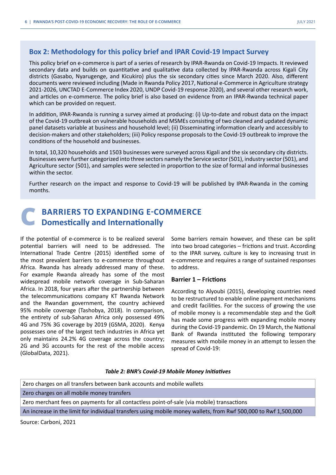#### **Box 2: Methodology for this policy brief and IPAR Covid-19 Impact Survey**

This policy brief on e-commerce is part of a series of research by IPAR-Rwanda on Covid-19 Impacts. It reviewed secondary data and builds on quantitative and qualitative data collected by IPAR-Rwanda across Kigali City districts (Gasabo, Nyarugenge, and Kicukiro) plus the six secondary cities since March 2020. Also, different documents were reviewed including (Made in Rwanda Policy 2017, National e-Commerce in Agriculture strategy 2021-2026, UNCTAD E-Commerce Index 2020, UNDP Covid-19 response 2020), and several other research work, and articles on e-commerce. The policy brief is also based on evidence from an IPAR-Rwanda technical paper which can be provided on request.

In addition, IPAR-Rwanda is running a survey aimed at producing: (i) Up-to-date and robust data on the impact of the Covid-19 outbreak on vulnerable households and MSMEs consisting of two cleaned and updated dynamic panel datasets variable at business and household level; (ii) Disseminating information clearly and accessibly to decision-makers and other stakeholders; (iii) Policy response proposals to the Covid-19 outbreak to improve the conditions of the household and businesses.

In total, 10,320 households and 1503 businesses were surveyed across Kigali and the six secondary city districts. Businesses were further categorized into three sectors namely the Service sector (501), industry sector (501), and Agriculture sector (501), and samples were selected in proportion to the size of formal and informal businesses within the sector.

Further research on the impact and response to Covid-19 will be published by IPAR-Rwanda in the coming months.

# **BARRIERS TO EXPANDING E-COMMERCE C Domestically and Internationally**

If the potential of e-commerce is to be realized several potential barriers will need to be addressed. The International Trade Centre (2015) identified some of the most prevalent barriers to e-commerce throughout Africa. Rwanda has already addressed many of these. For example Rwanda already has some of the most widespread mobile network coverage in Sub-Saharan Africa. In 2018, four years after the partnership between the telecommunications company KT Rwanda Network and the Rwandan government, the country achieved 95% mobile coverage (Tashobya, 2018). In comparison, the entirety of sub-Saharan Africa only possessed 49% 4G and 75% 3G coverage by 2019 (GSMA, 2020). Kenya possesses one of the largest tech industries in Africa yet only maintains 24.2% 4G coverage across the country; 2G and 3G accounts for the rest of the mobile access (GlobalData, 2021).

Some barriers remain however, and these can be split into two broad categories – frictions and trust. According to the IPAR survey, culture is key to increasing trust in e-commerce and requires a range of sustained responses to address.

#### **Barrier 1 – Frictions**

According to Alyoubi (2015), developing countries need to be restructured to enable online payment mechanisms and credit facilities. For the success of growing the use of mobile money is a recommendable step and the GoR has made some progress with expanding mobile money during the Covid-19 pandemic. On 19 March, the National Bank of Rwanda instituted the following temporary measures with mobile money in an attempt to lessen the spread of Covid-19:

#### *Table 2: BNR's Covid-19 Mobile Money Initiatives*

Zero charges on all transfers between bank accounts and mobile wallets Zero charges on all mobile money transfers Zero merchant fees on payments for all contactless point-of-sale (via mobile) transactions An increase in the limit for individual transfers using mobile money wallets, from Rwf 500,000 to Rwf 1,500,000

Source: Carboni, 2021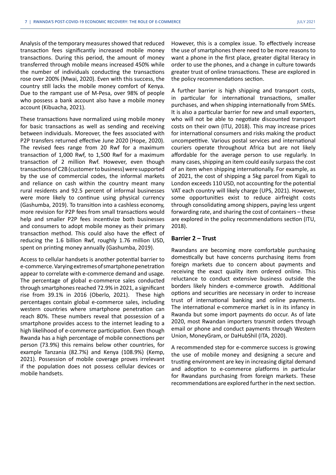Analysis of the temporary measures showed that reduced transaction fees significantly increased mobile money transactions. During this period, the amount of money transferred through mobile means increased 450% while the number of individuals conducting the transactions rose over 200% (Mwai, 2020). Even with this success, the country still lacks the mobile money comfort of Kenya. Due to the rampant use of M-Pesa, over 98% of people who possess a bank account also have a mobile money account (Kibuacha, 2021).

These transactions have normalized using mobile money for basic transactions as well as sending and receiving between individuals. Moreover, the fees associated with P2P transfers returned effective June 2020 (Hope, 2020). The revised fees range from 20 Rwf for a maximum transaction of 1,000 Rwf, to 1,500 Rwf for a maximum transaction of 2 million Rwf. However, even though transactions of C2B (customer to business) were supported by the use of commercial codes, the informal markets and reliance on cash within the country meant many rural residents and 92.5 percent of informal businesses were more likely to continue using physical currency (Gashumba, 2019). To transition into a cashless economy, more revision for P2P fees from small transactions would help and smaller P2P fees incentivize both businesses and consumers to adopt mobile money as their primary transaction method. This could also have the effect of reducing the 1.6 billion Rwf, roughly 1.76 million USD, spent on printing money annually (Gashumba, 2019).

Access to cellular handsets is another potential barrier to e-commerce. Varying extremes of smartphone penetration appear to correlate with e-commerce demand and usage. The percentage of global e-commerce sales conducted through smartphones reached 72.9% in 2021, a significant rise from 39.1% in 2016 (Oberlo, 2021). These high percentages contain global e-commerce sales, including western countries where smartphone penetration can reach 80%. These numbers reveal that possession of a smartphone provides access to the internet leading to a high likelihood of e-commerce participation. Even though Rwanda has a high percentage of mobile connections per person (73.9%) this remains below other countries, for example Tanzania (82.7%) and Kenya (108.9%) (Kemp, 2021). Possession of mobile coverage proves irrelevant if the population does not possess cellular devices or mobile handsets.

However, this is a complex issue. To effectively increase the use of smartphones there need to be more reasons to want a phone in the first place, greater digital literacy in order to use the phones, and a change in culture towards greater trust of online transactions. These are explored in the policy recommendations section.

A further barrier is high shipping and transport costs, in particular for international transactions, smaller purchases, and when shipping internationally from SMEs. It is also a particular barrier for new and small exporters, who will not be able to negotiate discounted transport costs on their own (ITU, 2018). This may increase prices for international consumers and risks making the product uncompetitive. Various postal services and international couriers operate throughout Africa but are not likely affordable for the average person to use regularly. In many cases, shipping an item could easily surpass the cost of an item when shipping internationally. For example, as of 2021, the cost of shipping a 5kg parcel from Kigali to London exceeds 110 USD, not accounting for the potential VAT each country will likely charge (UPS, 2021). However, some opportunities exist to reduce airfreight costs through consolidating among shippers, paying less urgent forwarding rate, and sharing the cost of containers – these are explored in the policy recommendations section (ITU, 2018).

#### **Barrier 2 – Trust**

Rwandans are becoming more comfortable purchasing domestically but have concerns purchasing items from foreign markets due to concern about payments and receiving the exact quality item ordered online. This reluctance to conduct extensive business outside the borders likely hinders e-commerce growth. Additional options and securities are necessary in order to increase trust of international banking and online payments. The international e-commerce market is in its infancy in Rwanda but some import payments do occur. As of late 2020, most Rwandan importers transmit orders through email or phone and conduct payments through Western Union, MoneyGram, or DaHubShil (ITA, 2020).

A recommended step for e-commerce success is growing the use of mobile money and designing a secure and trusting environment are key in increasing digital demand and adoption to e-commerce platforms in particular for Rwandans purchasing from foreign markets. These recommendations are explored further in the next section.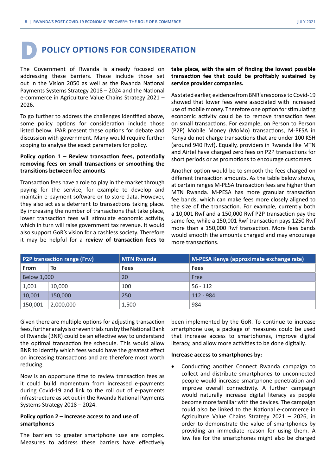# **POLICY OPTIONS FOR CONSIDERATION**

The Government of Rwanda is already focused on addressing these barriers. These include those set out in the Vision 2050 as well as the Rwanda National Payments Systems Strategy 2018 – 2024 and the National e-commerce in Agriculture Value Chains Strategy 2021 – 2026.

To go further to address the challenges identified above, some policy options for consideration include those listed below. IPAR present these options for debate and discussion with government. Many would require further scoping to analyse the exact parameters for policy.

#### **Policy option 1 – Review transaction fees, potentially removing fees on small transactions or smoothing the transitions between fee amounts**

Transaction fees have a role to play in the market through paying for the service, for example to develop and maintain e-payment software or to store data. However, they also act as a deterrent to transactions taking place. By increasing the number of transactions that take place, lower transaction fees will stimulate economic activity, which in turn will raise government tax revenue. It would also support GoR's vision for a cashless society. Therefore it may be helpful for a **review of transaction fees to** 

#### **take place, with the aim of finding the lowest possible transaction fee that could be profitably sustained by service provider companies.**

As stated earlier, evidence from BNR's response to Covid-19 showed that lower fees were associated with increased use of mobile money. Therefore one option for stimulating economic activity could be to remove transaction fees on small transactions. For example, on Person to Person (P2P) Mobile Money (MoMo) transactions, M-PESA in Kenya do not charge transactions that are under 100 KSH (around 940 Rwf). Equally, providers in Rwanda like MTN and Airtel have charged zero fees on P2P transactions for short periods or as promotions to encourage customers.

Another option would be to smooth the fees charged on different transaction amounts. As the table below shows, at certain ranges M-PESA transaction fees are higher than MTN Rwanda. M-PESA has more granular transaction fee bands, which can make fees more closely aligned to the size of the transaction. For example, currently both a 10,001 Rwf and a 150,000 Rwf P2P transaction pay the same fee, while a 150,001 Rwf transaction pays 1250 Rwf more than a 150,000 Rwf transaction. More fees bands would smooth the amounts charged and may encourage more transactions.

| <b>P2P transaction range (Frw)</b> |           | <b>MTN Rwanda</b> | M-PESA Kenya (approximate exchange rate) |
|------------------------------------|-----------|-------------------|------------------------------------------|
| <b>From</b>                        | To        | <b>Fees</b>       | <b>Fees</b>                              |
| <b>Below 1,000</b>                 |           | 20                | Free                                     |
| 1,001                              | 10,000    | 100               | $56 - 112$                               |
| 10,001                             | 150,000   | 250               | 112 - 984                                |
| 150,001                            | 2,000,000 | 1,500             | 984                                      |

Given there are multiple options for adjusting transaction fees, further analysis or even trials run by the National Bank of Rwanda (BNR) could be an effective way to understand the optimal transaction fee schedule. This would allow BNR to identify which fees would have the greatest effect on increasing transactions and are therefore most worth reducing.

Now is an opportune time to review transaction fees as it could build momentum from increased e-payments during Covid-19 and link to the roll out of e-payments infrastructure as set out in the Rwanda National Payments Systems Strategy 2018 – 2024.

#### **Policy option 2 – Increase access to and use of smartphones**

The barriers to greater smartphone use are complex. Measures to address these barriers have effectively been implemented by the GoR. To continue to increase smartphone use, a package of measures could be used that increase access to smartphones, improve digital literacy, and allow more activities to be done digitally.

#### **Increase access to smartphones by:**

Conducting another Connect Rwanda campaign to collect and distribute smartphones to unconnected people would increase smartphone penetration and improve overall connectivity. A further campaign would naturally increase digital literacy as people become more familiar with the devices. The campaign could also be linked to the National e-commerce in Agriculture Value Chains Strategy 2021 – 2026, in order to demonstrate the value of smartphones by providing an immediate reason for using them. A low fee for the smartphones might also be charged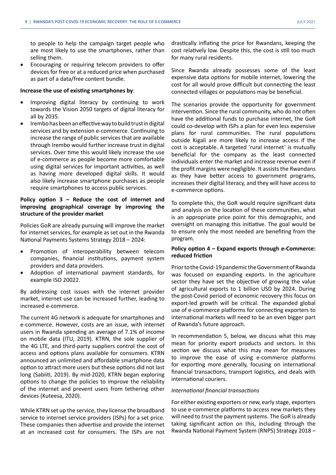to people to help the campaign target people who are most likely to use the smartphones, rather than selling them.

Encouraging or requiring telecom providers to offer devices for free or at a reduced price when purchased as part of a data/free content bundle.

#### **Increase the use of existing smartphones by**:

- Improving digital literacy by continuing to work towards the Vision 2050 targets of digital literacy for all by 2035.
- Irembo has been an effective way to build trust in digital services and by extension e-commerce. Continuing to increase the range of public services that are available through Irembo would further increase trust in digital services. Over time this would likely increase the use of e-commerce as people become more comfortable using digital services for important activities, as well as having more developed digital skills. It would also likely increase smartphone purchases as people require smartphones to access public services.

#### **Policy option 3 – Reduce the cost of internet and improving geographical coverage by improving the structure of the provider market**

Policies GoR are already pursuing will improve the market for internet services, for example as set out in the Rwanda National Payments Systems Strategy 2018 – 2024:

- Promotion of interoperability between telecom companies, financial institutions, payment system providers and data providers.
- Adoption of international payment standards, for example ISO 20022.

By addressing cost issues with the internet provider market, internet use can be increased further, leading to increased e-commerce.

The current 4G network is adequate for smartphones and e-commerce. However, costs are an issue, with internet users in Rwanda spending an average of 7.1% of income on mobile data (ITU, 2019). KTRN, the sole supplier of the 4G LTE, and third-party suppliers control the cost of access and options plans available for consumers. KTRN announced an unlimited and affordable smartphone data option to attract more users but these options did not last long (Sabiiti, 2019). By mid-2020, KTRN began exploring options to change the policies to improve the reliability of the internet and prevent users from tethering other devices (Kuteesa, 2020).

While KTRN set up the service, they license the broadband service to internet service providers (ISPs) for a set price. These companies then advertise and provide the internet at an increased cost for consumers. The ISPs are not drastically inflating the price for Rwandans, keeping the cost relatively low. Despite this, the cost is still too much for many rural residents.

Since Rwanda already possesses some of the least expensive data options for mobile internet, lowering the cost for all would prove difficult but connecting the least connected villages or populations may be beneficial.

The scenarios provide the opportunity for government intervention. Since the rural community, who do not often have the additional funds to purchase internet, the GoR could co-develop with ISPs a plan for even less expensive plans for rural communities. The rural populations outside Kigali are more likely to increase access if the cost is acceptable. A targeted 'rural internet' is mutually beneficial for the company as the least connected individuals enter the market and increase revenue even if the profit margins were negligible. It assists the Rwandans as they have better access to government programs, increases their digital literacy, and they will have access to e-commerce options.

To complete this, the GoR would require significant data and analysis on the location of these communities, what is an appropriate price point for this demographic, and oversight on managing this initiative. The goal would be to ensure only the most needed are benefiting from the program.

#### **Policy option 4 – Expand exports through e-Commerce: reduced friction**

Prior to the Covid-19 pandemic the Government of Rwanda was focused on expanding exports. In the agriculture sector they have set the objective of growing the value of agricultural exports to 1 billion USD by 2024. During the post-Covid period of economic recovery this focus on export-led growth will be critical. The expanded global use of e-commerce platforms for connecting exporters to international markets will need to be an even bigger part of Rwanda's future approach.

In recommendation 5, below, we discuss what this may mean for priority export products and sectors. In this section we discuss what this may mean for measures to improve the ease of using e-commerce platforms for exporting more generally, focusing on international financial transactions, transport logistics, and deals with international couriers.

#### *International financial transactions*

For either existing exporters or new, early stage, exporters to use e-commerce platforms to access new markets they will need to *trust* the payment systems. The GoR is already taking significant action on this, including through the Rwanda National Payment System (RNPS) Strategy 2018 –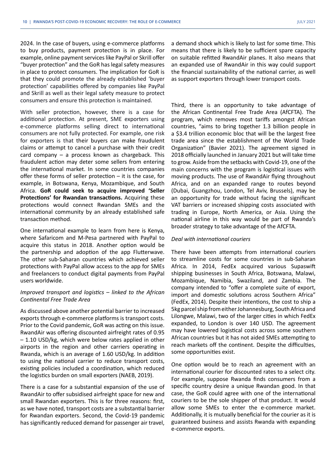2024. In the case of buyers, using e-commerce platforms to buy products, payment protection is in place. For example, online payment services like PayPal or Skrill offer "buyer protection" and the GoR has legal safety measures in place to protect consumers. The implication for GoR is that they could promote the already established 'buyer protection' capabilities offered by companies like PayPal and Skrill as well as their legal safety measure to protect consumers and ensure this protection is maintained.

With seller protection, however, there is a case for additional protection. At present, SME exporters using e-commerce platforms selling direct to international consumers are not fully protected. For example, one risk for exporters is that their buyers can make fraudulent claims or attempt to cancel a purchase with their credit card company – a process known as chargeback. This fraudulent action may deter some sellers from entering the international market. In some countries companies offer these forms of seller protection – it is the case, for example, in Botswana, Kenya, Mozambique, and South Africa. **GoR could seek to acquire improved 'Seller Protections' for Rwandan transactions.** Acquiring these protections would connect Rwandan SMEs and the international community by an already established safe transaction method.

One international example to learn from here is Kenya, where Safaricom and M-Pesa partnered with PayPal to acquire this status in 2018. Another option would be the partnership and adoption of the app Flutterwave. The other sub-Saharan countries which achieved seller protections with PayPal allow access to the app for SMEs and freelancers to conduct digital payments from PayPal users worldwide.

#### *Improved transport and logistics – linked to the African Continental Free Trade Area*

As discussed above another potential barrier to increased exports through e-commerce platforms is transport costs. Prior to the Covid pandemic, GoR was acting on this issue. RwandAir was offering discounted airfreight rates of 0.95 – 1.10 USD/kg, which were below rates applied in other airports in the region and other carriers operating in Rwanda, which is an average of 1.60 USD/kg. In addition to using the national carrier to reduce transport costs, existing policies included a coordination, which reduced the logistics burden on small exporters (NAEB, 2019).

There is a case for a substantial expansion of the use of RwandAir to offer subsidised airfreight space for new and small Rwandan exporters. This is for three reasons: first, as we have noted, transport costs are a substantial barrier for Rwandan exporters. Second, the Covid-19 pandemic has significantly reduced demand for passenger air travel,

a demand shock which is likely to last for some time. This means that there is likely to be sufficient spare capacity on suitable refitted RwandAir planes. It also means that an expanded use of RwandAir in this way could support the financial sustainability of the national carrier, as well as support exporters through lower transport costs.

Third, there is an opportunity to take advantage of the African Continental Free Trade Area (AfCFTA). The program, which removes most tariffs amongst African countries, "aims to bring together 1.3 billion people in a \$3.4 trillion economic bloc that will be the largest free trade area since the establishment of the World Trade Organization" (Bavier 2021). The agreement signed in 2018 officially launched in January 2021 but will take time to grow. Aside from the setbacks with Covid-19, one of the main concerns with the program is logistical issues with moving products. The use of RwandAir flying throughout Africa, and on an expanded range to routes beyond (Dubai, Guangzhou, London, Tel Aviv, Brussels), may be an opportunity for trade without facing the significant VAT barriers or increased shipping costs associated with trading in Europe, North America, or Asia. Using the national airline in this way would be part of Rwanda's broader strategy to take advantage of the AfCFTA.

#### *Deal with international couriers*

There have been attempts from international couriers to streamline costs for some countries in sub-Saharan Africa. In 2014, FedEx acquired various Supaswift shipping businesses in South Africa, Botswana, Malawi, Mozambique, Namibia, Swaziland, and Zambia. The company intended to "offer a complete suite of export, import and domestic solutions across Southern Africa" (FedEx, 2014). Despite their intentions, the cost to ship a 5kg parcel ship from either Johannesburg, South Africa and Lilongwe, Malawi, two of the larger cities in which FedEx expanded, to London is over 140 USD. The agreement may have lowered logistical costs across some southern African countries but it has not aided SMEs attempting to reach markets off the continent. Despite the difficulties, some opportunities exist.

One option would be to reach an agreement with an international courier for discounted rates to a select city. For example, suppose Rwanda finds consumers from a specific country desire a unique Rwandan good. In that case, the GoR could agree with one of the international couriers to be the sole shipper of that product. It would allow some SMEs to enter the e-commerce market. Additionally, it is mutually beneficial for the courier as it is guaranteed business and assists Rwanda with expanding e-commerce exports.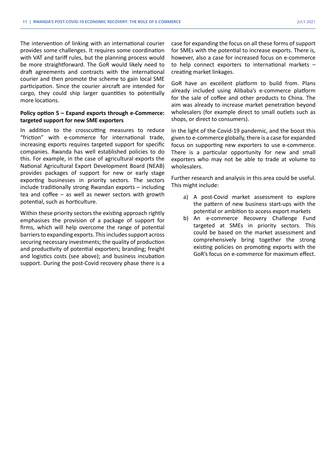The intervention of linking with an international courier provides some challenges. It requires some coordination with VAT and tariff rules, but the planning process would be more straightforward. The GoR would likely need to draft agreements and contracts with the international courier and then promote the scheme to gain local SME participation. Since the courier aircraft are intended for cargo, they could ship larger quantities to potentially more locations.

#### **Policy option 5 – Expand exports through e-Commerce: targeted support for new SME exporters**

In addition to the crosscutting measures to reduce "friction" with e-commerce for international trade, increasing exports requires targeted support for specific companies. Rwanda has well established policies to do this. For example, in the case of agricultural exports the National Agricultural Export Development Board (NEAB) provides packages of support for new or early stage exporting businesses in priority sectors. The sectors include traditionally strong Rwandan exports – including tea and coffee – as well as newer sectors with growth potential, such as horticulture.

Within these priority sectors the existing approach rightly emphasises the provision of a package of support for firms, which will help overcome the range of potential barriers to expanding exports. This includes support across securing necessary investments; the quality of production and productivity of potential exporters; branding; freight and logistics costs (see above); and business incubation support. During the post-Covid recovery phase there is a case for expanding the focus on all these forms of support for SMEs with the potential to increase exports. There is, however, also a case for increased focus on e-commerce to help connect exporters to international markets – creating market linkages.

GoR have an excellent platform to build from. Plans already included using Alibaba's e-commerce platform for the sale of coffee and other products to China. The aim was already to increase market penetration beyond wholesalers (for example direct to small outlets such as shops, or direct to consumers).

In the light of the Covid-19 pandemic, and the boost this given to e-commerce globally, there is a case for expanded focus on supporting new exporters to use e-commerce. There is a particular opportunity for new and small exporters who may not be able to trade at volume to wholesalers.

Further research and analysis in this area could be useful. This might include:

- a) A post-Covid market assessment to explore the pattern of new business start-ups with the potential or ambition to access export markets
- b) An e-commerce Recovery Challenge Fund targeted at SMEs in priority sectors. This could be based on the market assessment and comprehensively bring together the strong existing policies on promoting exports with the GoR's focus on e-commerce for maximum effect.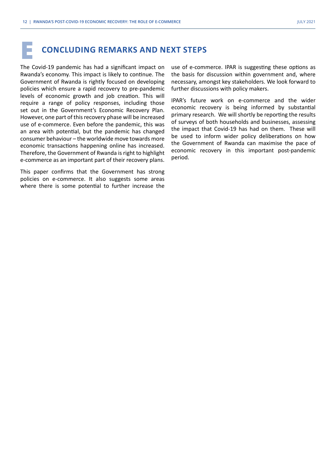## **E CONCLUDING REMARKS AND NEXT STEPS**

The Covid-19 pandemic has had a significant impact on Rwanda's economy. This impact is likely to continue. The Government of Rwanda is rightly focused on developing policies which ensure a rapid recovery to pre-pandemic levels of economic growth and job creation. This will require a range of policy responses, including those set out in the Government's Economic Recovery Plan. However, one part of this recovery phase will be increased use of e-commerce. Even before the pandemic, this was an area with potential, but the pandemic has changed consumer behaviour – the worldwide move towards more economic transactions happening online has increased. Therefore, the Government of Rwanda is right to highlight e-commerce as an important part of their recovery plans.

This paper confirms that the Government has strong policies on e-commerce. It also suggests some areas where there is some potential to further increase the use of e-commerce. IPAR is suggesting these options as the basis for discussion within government and, where necessary, amongst key stakeholders. We look forward to further discussions with policy makers.

IPAR's future work on e-commerce and the wider economic recovery is being informed by substantial primary research. We will shortly be reporting the results of surveys of both households and businesses, assessing the impact that Covid-19 has had on them. These will be used to inform wider policy deliberations on how the Government of Rwanda can maximise the pace of economic recovery in this important post-pandemic period.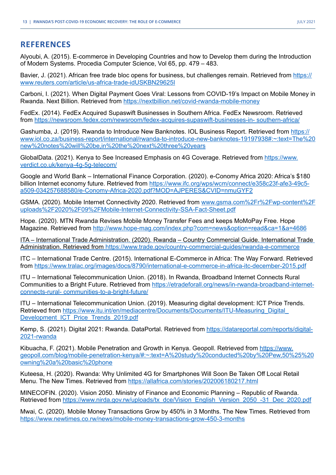## **REFERENCES**

Alyoubi, A. (2015). E-commerce in Developing Countries and how to Develop them during the Introduction of Modern Systems. Procedia Computer Science, Vol 65, pp. 479 – 483.

Bavier, J. (2021). African free trade bloc opens for business, but challenges remain. Retrieved from [https://](https://www.reuters.com/article/us-africa-trade-idUSKBN29625I) [www.reuters.com/article/us-africa-trade-idUSKBN29625I](https://www.reuters.com/article/us-africa-trade-idUSKBN29625I)

Carboni, I. (2021). When Digital Payment Goes Viral: Lessons from COVID-19's Impact on Mobile Money in Rwanda. Next Billion. Retrieved from <https://nextbillion.net/covid-rwanda-mobile-money>

FedEx. (2014). FedEx Acquired Supaswift Businesses in Southern Africa. FedEx Newsroom. Retrieved from [https://newsroom.fedex.com/newsroom/fedex-acquires-supaswift-businesses-in- southern-africa/](https://newsroom.fedex.com/newsroom/fedex-acquires-supaswift-businesses-in-%20southern-africa/)

Gashumba, J. (2019). Rwanda to Introduce New Banknotes. IOL Business Report. Retrieved from https:// www.iol.co.za/business-report/international/rwanda-to-introduce-new-banknotes-19197938#:~:text=The%20 new%20notes%20will%20be,in%20the%20next%20three%20years

GlobalData. (2021). Kenya to See Increased Emphasis on 4G Coverage. Retrieved from [https://www.](https://www.verdict.co.uk/kenya-4g-5g-telecom/) [verdict.co.uk/kenya-4g-5g-telecom/](https://www.verdict.co.uk/kenya-4g-5g-telecom/)

Google and World Bank – International Finance Corporation. (2020). e-Conomy Africa 2020: Africa's \$180 billion Internet economy future. Retrieved from [https://www.ifc.org/wps/wcm/connect/e358c23f-afe3-49c5](https://www.ifc.org/wps/wcm/connect/e358c23f-afe3-49c5-a509-034257688580/e-Conomy-Africa-2020.pdf?MOD=AJPERES&CVID=nmuGYF2) [a509-034257688580/e-Conomy-Africa-2020.pdf?MOD=AJPERES&CVID=nmuGYF2](https://www.ifc.org/wps/wcm/connect/e358c23f-afe3-49c5-a509-034257688580/e-Conomy-Africa-2020.pdf?MOD=AJPERES&CVID=nmuGYF2)

GSMA. (2020). Mobile Internet Connectivity 2020. Retrieved from www.gsma.com%2Fr%2Fwp-content%2F uploads%2F2020%2F09%2FMobile-Internet-Connectivity-SSA-Fact-Sheet.pdf

Hope. (2020). MTN Rwanda Revises Mobile Money Transfer Fees and keeps MoMoPay Free. Hope Magazine. Retrieved from <http://www.hope-mag.com/index.php?com=news&option=read&ca=1&a=4686>

ITA – International Trade Administration. (2020). Rwanda – Country Commercial Guide. International Trade Administration. Retrieved from [https://www.trade.gov/country-commercial-guides/rwanda-e-commerc](https://www.trade.gov/country-commercial-guides/rwanda-ecommerce)e

ITC – International Trade Centre. (2015). International E-Commerce in Africa: The Way Forward. Retrieved from<https://www.tralac.org/images/docs/8790/international-e-commerce-in-africa-itc-december-2015.pdf>

ITU – International Telecommunication Union. (2018). In Rwanda, Broadband Internet Connects Rural Communities to a Bright Future. Retrieved from [https://etradeforall.org/news/in-rwanda-broadband-internet](https://etradeforall.org/news/in-rwanda-broadband-internet-connects-rural-%20communities-to-a-bright-future/)[connects-rural- communities-to-a-bright-future/](https://etradeforall.org/news/in-rwanda-broadband-internet-connects-rural-%20communities-to-a-bright-future/)

ITU – International Telecommunication Union. (2019). Measuring digital development: ICT Price Trends. Retrieved from [https://www.itu.int/en/mediacentre/Documents/Documents/ITU-Measuring\\_Digital\\_](https://www.itu.int/en/mediacentre/Documents/Documents/ITU-Measuring_Digital_Development_ICT_Price_Trends_2019.pdf) [Development\\_ICT\\_Price\\_Trends\\_2019.pdf](https://www.itu.int/en/mediacentre/Documents/Documents/ITU-Measuring_Digital_Development_ICT_Price_Trends_2019.pdf)

Kemp, S. (2021). Digital 2021: Rwanda. DataPortal. Retrieved from [https://datareportal.com/reports/digital-](https://datareportal.com/reports/digital-2021-rwanda)[2021-rwanda](https://datareportal.com/reports/digital-2021-rwanda)

Kibuacha, F. (2021). Mobile Penetration and Growth in Kenya. Geopoll. Retrieved from https://www. geopoll.com/blog/mobile-penetration-kenya/#:~:text=A%20study%20conducted%20by%20Pew,50%25%20 owning%20a%20basic%20phone

Kuteesa, H. (2020). Rwanda: Why Unlimited 4G for Smartphones Will Soon Be Taken Off Local Retail Menu. The New Times. Retrieved from<https://allafrica.com/stories/202006180217.html>

MINECOFIN. (2020). Vision 2050. Ministry of Finance and Economic Planning – Republic of Rwanda. Retrieved from [https://www.nirda.gov.rw/uploads/tx\\_dce/Vision\\_English\\_Version\\_2050\\_-31\\_Dec\\_2020.pdf](https://www.nirda.gov.rw/uploads/tx_dce/Vision_English_Version_2050_-31_Dec_2020.pdf)

Mwai, C. (2020). Mobile Money Transactions Grow by 450% in 3 Months. The New Times. Retrieved from <https://www.newtimes.co.rw/news/mobile-money-transactions-grow-450-3-months>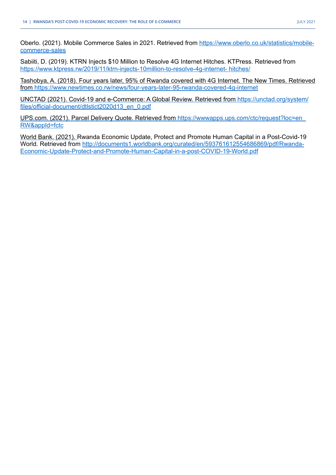Oberlo. (2021). Mobile Commerce Sales in 2021. Retrieved from [https://www.oberlo.co.uk/statistics/mobile](https://www.oberlo.co.uk/statistics/mobile-commerce-sales)[commerce-sales](https://www.oberlo.co.uk/statistics/mobile-commerce-sales)

Sabiiti, D. (2019). KTRN Injects \$10 Million to Resolve 4G Internet Hitches. KTPress. Retrieved from [https://www.ktpress.rw/2019/11/ktrn-injects-10million-to-resolve-4g-internet- hitches/](https://www.ktpress.rw/2019/11/ktrn-injects-10million-to-resolve-4g-internet-%20hitches/)

Tashobya, A. (2018). Four years later, 95% of Rwanda covered with 4G Internet. The New Times. Retrieved from<https://www.newtimes.co.rw/news/four-years-later-95-rwanda-covered-4g-internet>

UNCTAD (2021). Covid-19 and e-Commerce: A Global Review. Retrieved from [https://unctad.org/system/](https://unctad.org/system/files/official-document/dtlstict2020d13_en_0.pdf) [files/official-document/dtlstict2020d13\\_en\\_0.pdf](https://unctad.org/system/files/official-document/dtlstict2020d13_en_0.pdf)

UPS.com. (2021). Parcel Delivery Quote. Retrieved from [https://wwwapps.ups.com/ctc/request?loc=en\\_](https://wwwapps.ups.com/ctc/request?loc=en_RW&appId=fctc) [RW&appId=fctc](https://wwwapps.ups.com/ctc/request?loc=en_RW&appId=fctc)

World Bank. (2021). Rwanda Economic Update, Protect and Promote Human Capital in a Post-Covid-19 World. Retrieved from [http://documents1.worldbank.org/curated/en/593761612554686869/pdf/Rwanda-](http://documents1.worldbank.org/curated/en/593761612554686869/pdf/Rwanda-Economic-Update-Protect-and-Promote-Human-Capital-in-a-post-COVID-19-World.pdf)[Economic-Update-Protect-and-Promote-Human-Capital-in-a-post-COVID-19-World.pdf](http://documents1.worldbank.org/curated/en/593761612554686869/pdf/Rwanda-Economic-Update-Protect-and-Promote-Human-Capital-in-a-post-COVID-19-World.pdf)